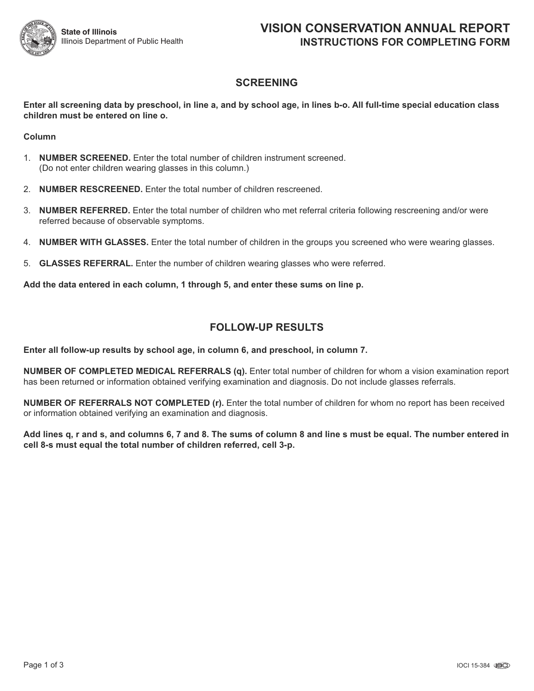

## **SCREENING**

Enter all screening data by preschool, in line a, and by school age, in lines b-o. All full-time special education class **children must be entered on line o.**

#### **Column**

- 1. **NUMBER SCREENED.** Enter the total number of children instrument screened. (Do not enter children wearing glasses in this column.)
- 2. **NUMBER RESCREENED.** Enter the total number of children rescreened.
- 3. **NUMBER REFERRED.** Enter the total number of children who met referral criteria following rescreening and/or were referred because of observable symptoms.
- 4. **NUMBER WITH GLASSES.** Enter the total number of children in the groups you screened who were wearing glasses.
- 5. **GLASSES REFERRAL.** Enter the number of children wearing glasses who were referred.

**Add the data entered in each column, 1 through 5, and enter these sums on line p.**

## **FOLLOW-UP RESULTS**

**Enter all follow-up results by school age, in column 6, and preschool, in column 7.**

**NUMBER OF COMPLETED MEDICAL REFERRALS (q).** Enter total number of children for whom a vision examination report has been returned or information obtained verifying examination and diagnosis. Do not include glasses referrals.

**NUMBER OF REFERRALS NOT COMPLETED (r).** Enter the total number of children for whom no report has been received or information obtained verifying an examination and diagnosis.

Add lines q, r and s, and columns 6, 7 and 8. The sums of column 8 and line s must be equal. The number entered in **cell 8-s must equal the total number of children referred, cell 3-p.**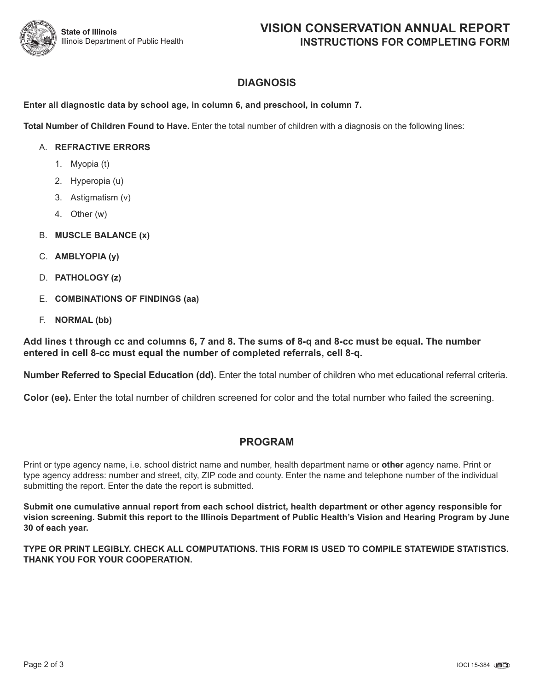## **DIAGNOSIS**

#### **Enter all diagnostic data by school age, in column 6, and preschool, in column 7.**

**Total Number of Children Found to Have.** Enter the total number of children with a diagnosis on the following lines:

#### A. **REFRACTIVE ERRORS**

- 1. Myopia (t)
- 2. Hyperopia (u)
- 3. Astigmatism (v)
- 4. Other (w)
- B. **MUSCLE BALANCE (x)**
- C. **AMBLYOPIA (y)**
- D. **PATHOLOGY (z)**
- E. **COMBINATIONS OF FINDINGS (aa)**
- F. **NORMAL (bb)**

Add lines t through cc and columns 6, 7 and 8. The sums of 8-q and 8-cc must be equal. The number **entered in cell 8-cc must equal the number of completed referrals, cell 8-q.**

**Number Referred to Special Education (dd).** Enter the total number of children who met educational referral criteria.

**Color (ee).** Enter the total number of children screened for color and the total number who failed the screening.

### **PROGRAM**

Print or type agency name, i.e. school district name and number, health department name or **other** agency name. Print or type agency address: number and street, city, ZIP code and county. Enter the name and telephone number of the individual submitting the report. Enter the date the report is submitted.

**Submit one cumulative annual report from each school district, health department or other agency responsible for** vision screening. Submit this report to the Illinois Department of Public Health's Vision and Hearing Program by June **30 of each year.**

**TYPE OR PRINT LEGIBLY. CHECK ALL COMPUTATIONS. THIS FORM IS USED TO COMPILE STATEWIDE STATISTICS. THANK YOU FOR YOUR COOPERATION.**